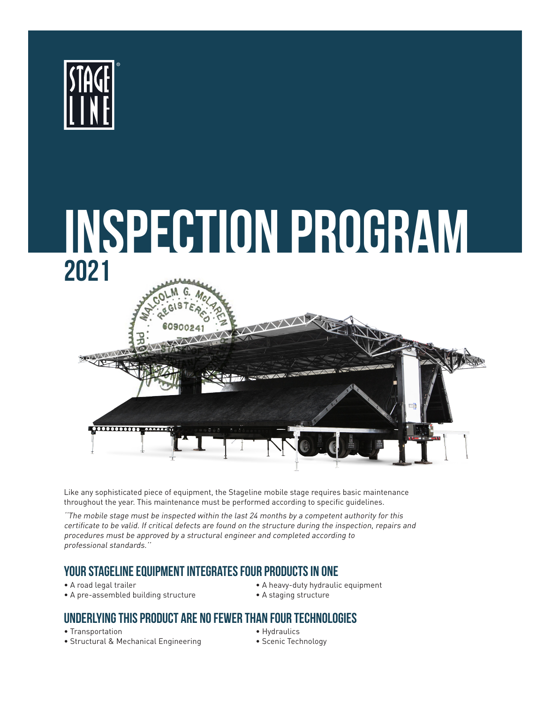



Like any sophisticated piece of equipment, the Stageline mobile stage requires basic maintenance throughout the year. This maintenance must be performed according to specific guidelines.

''The mobile stage must be inspected within the last 24 months by a competent authority for this certificate to be valid. If critical defects are found on the structure during the inspection, repairs and procedures must be approved by a structural engineer and completed according to professional standards.''

## **Your Stageline equipment integrates four products in one**

- 
- A pre-assembled building structure A staging structure
- A road legal trailer A heavy-duty hydraulic equipment
	-

## **Underlying this product are no fewer than four technologies**

- Transportation **Hydraulics**
- Structural & Mechanical Engineering Scenic Technology
- -